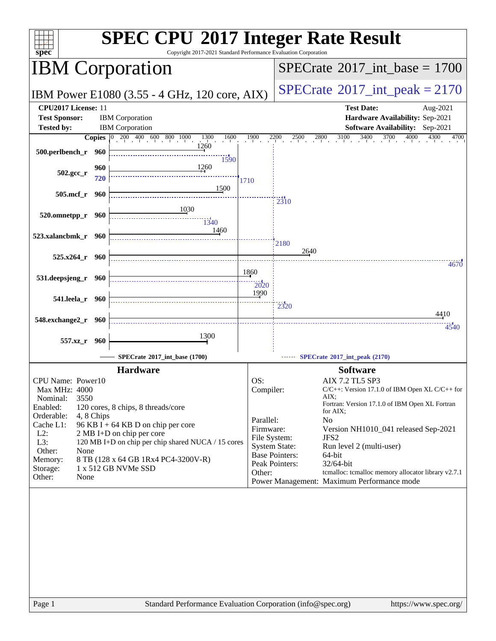| <b>SPEC CPU®2017 Integer Rate Result</b><br>Copyright 2017-2021 Standard Performance Evaluation Corporation<br>spec <sup>®</sup>                                                        |                                                                                                                                                                                                                                              |                                                                      |                                                                                                                                                                                                                                                                                                                                                                                                                                                                         |  |  |  |  |
|-----------------------------------------------------------------------------------------------------------------------------------------------------------------------------------------|----------------------------------------------------------------------------------------------------------------------------------------------------------------------------------------------------------------------------------------------|----------------------------------------------------------------------|-------------------------------------------------------------------------------------------------------------------------------------------------------------------------------------------------------------------------------------------------------------------------------------------------------------------------------------------------------------------------------------------------------------------------------------------------------------------------|--|--|--|--|
| <b>IBM Corporation</b>                                                                                                                                                                  |                                                                                                                                                                                                                                              | $SPECrate^{\circ}2017\_int\_base = 1700$                             |                                                                                                                                                                                                                                                                                                                                                                                                                                                                         |  |  |  |  |
|                                                                                                                                                                                         | IBM Power E1080 (3.55 - 4 GHz, 120 core, AIX)                                                                                                                                                                                                |                                                                      | $SPECTate$ <sup>®</sup> 2017_int_peak = 2170                                                                                                                                                                                                                                                                                                                                                                                                                            |  |  |  |  |
| CPU2017 License: 11<br><b>Test Sponsor:</b><br><b>Tested by:</b>                                                                                                                        | <b>IBM</b> Corporation<br><b>IBM</b> Corporation                                                                                                                                                                                             |                                                                      | <b>Test Date:</b><br>Aug-2021<br>Hardware Availability: Sep-2021<br><b>Software Availability:</b> Sep-2021                                                                                                                                                                                                                                                                                                                                                              |  |  |  |  |
| <b>Copies</b>                                                                                                                                                                           | $200 \t 400 \t 600 \t 800 \t 1000$<br>1300<br>1600<br>$ 0\rangle$                                                                                                                                                                            | 1900                                                                 | 3400<br>2800<br>3100<br>3700<br>4000<br>2200<br>2500<br>4300<br>4700                                                                                                                                                                                                                                                                                                                                                                                                    |  |  |  |  |
| 500.perlbench_r<br>960                                                                                                                                                                  | 1260<br>1590                                                                                                                                                                                                                                 |                                                                      |                                                                                                                                                                                                                                                                                                                                                                                                                                                                         |  |  |  |  |
| 960<br>502.gcc_r<br>720                                                                                                                                                                 | 1260                                                                                                                                                                                                                                         | 1710                                                                 |                                                                                                                                                                                                                                                                                                                                                                                                                                                                         |  |  |  |  |
| 505.mcf_r<br>960                                                                                                                                                                        | 1500                                                                                                                                                                                                                                         |                                                                      | 2310                                                                                                                                                                                                                                                                                                                                                                                                                                                                    |  |  |  |  |
| 520.omnetpp_r<br>960                                                                                                                                                                    | 1030<br>$\frac{13}{40}$                                                                                                                                                                                                                      |                                                                      |                                                                                                                                                                                                                                                                                                                                                                                                                                                                         |  |  |  |  |
| 523.xalancbmk_r 960                                                                                                                                                                     | 1460                                                                                                                                                                                                                                         |                                                                      | 2180                                                                                                                                                                                                                                                                                                                                                                                                                                                                    |  |  |  |  |
| 525.x264_r 960                                                                                                                                                                          |                                                                                                                                                                                                                                              |                                                                      | 2640<br>4670                                                                                                                                                                                                                                                                                                                                                                                                                                                            |  |  |  |  |
| 531.deepsjeng_r<br>960                                                                                                                                                                  |                                                                                                                                                                                                                                              | 1860<br>2020                                                         |                                                                                                                                                                                                                                                                                                                                                                                                                                                                         |  |  |  |  |
| 541.leela_r 960                                                                                                                                                                         |                                                                                                                                                                                                                                              | 1990                                                                 | $\frac{1}{2320}$                                                                                                                                                                                                                                                                                                                                                                                                                                                        |  |  |  |  |
| 548.exchange2_r 960                                                                                                                                                                     |                                                                                                                                                                                                                                              |                                                                      | 4410<br>4540                                                                                                                                                                                                                                                                                                                                                                                                                                                            |  |  |  |  |
| 557.xz<br>- 960                                                                                                                                                                         | 1300                                                                                                                                                                                                                                         |                                                                      |                                                                                                                                                                                                                                                                                                                                                                                                                                                                         |  |  |  |  |
|                                                                                                                                                                                         | SPECrate*2017_int_base (1700)                                                                                                                                                                                                                |                                                                      | SPECrate®2017_int_peak (2170)                                                                                                                                                                                                                                                                                                                                                                                                                                           |  |  |  |  |
| CPU Name: Power10<br>Max MHz: 4000<br>3550<br>Nominal:<br>Enabled:<br>Orderable:<br>4, 8 Chips<br>Cache L1:<br>$L2$ :<br>L3:<br>Other:<br>None<br>Memory:<br>Storage:<br>Other:<br>None | <b>Hardware</b><br>120 cores, 8 chips, 8 threads/core<br>96 KB I + 64 KB D on chip per core<br>2 MB I+D on chip per core<br>120 MB I+D on chip per chip shared NUCA / 15 cores<br>8 TB (128 x 64 GB 1Rx4 PC4-3200V-R)<br>1 x 512 GB NVMe SSD | OS:<br>Compiler:<br>Parallel:<br>Firmware:<br>File System:<br>Other: | <b>Software</b><br>AIX 7.2 TL5 SP3<br>$C/C++$ : Version 17.1.0 of IBM Open XL $C/C++$ for<br>AIX:<br>Fortran: Version 17.1.0 of IBM Open XL Fortran<br>for AIX;<br>N <sub>0</sub><br>Version NH1010_041 released Sep-2021<br>JFS <sub>2</sub><br><b>System State:</b><br>Run level 2 (multi-user)<br><b>Base Pointers:</b><br>64-bit<br>Peak Pointers:<br>32/64-bit<br>temalloc: temalloc memory allocator library v2.7.1<br>Power Management: Maximum Performance mode |  |  |  |  |
| Page 1                                                                                                                                                                                  | Standard Performance Evaluation Corporation (info@spec.org)                                                                                                                                                                                  |                                                                      | https://www.spec.org/                                                                                                                                                                                                                                                                                                                                                                                                                                                   |  |  |  |  |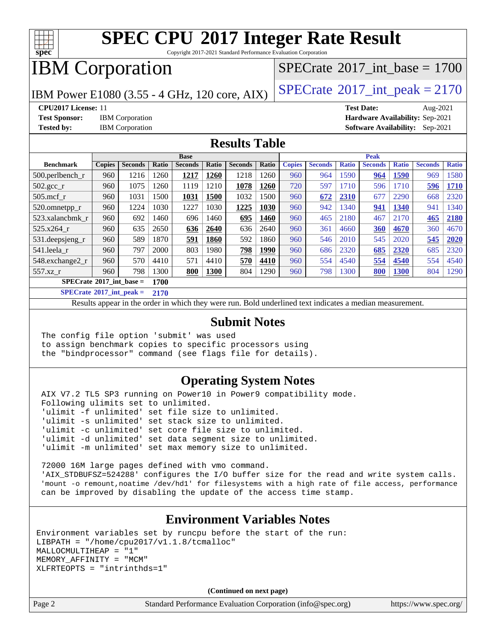

Copyright 2017-2021 Standard Performance Evaluation Corporation

## IBM Corporation

IBM Power E1080 (3.55 - 4 GHz, 120 core, AIX)  $\left| \text{SPECrate} \right|^{2}$  $\left| \text{SPECrate} \right|^{2}$  $\left| \text{SPECrate} \right|^{2}$  SOPEC int\_peak = 2170

[SPECrate](http://www.spec.org/auto/cpu2017/Docs/result-fields.html#SPECrate2017intbase)®2017 int\_base =  $1700$ 

**[CPU2017 License:](http://www.spec.org/auto/cpu2017/Docs/result-fields.html#CPU2017License)** 11 **[Test Date:](http://www.spec.org/auto/cpu2017/Docs/result-fields.html#TestDate)** Aug-2021 **[Test Sponsor:](http://www.spec.org/auto/cpu2017/Docs/result-fields.html#TestSponsor)** IBM Corporation **[Hardware Availability:](http://www.spec.org/auto/cpu2017/Docs/result-fields.html#HardwareAvailability)** Sep-2021 **[Tested by:](http://www.spec.org/auto/cpu2017/Docs/result-fields.html#Testedby)** IBM Corporation **[Software Availability:](http://www.spec.org/auto/cpu2017/Docs/result-fields.html#SoftwareAvailability)** Sep-2021

#### **[Results Table](http://www.spec.org/auto/cpu2017/Docs/result-fields.html#ResultsTable)**

| Base                                      |               |                |       |                | Peak  |                |       |               |                |              |                |              |                |              |
|-------------------------------------------|---------------|----------------|-------|----------------|-------|----------------|-------|---------------|----------------|--------------|----------------|--------------|----------------|--------------|
| <b>Benchmark</b>                          | <b>Copies</b> | <b>Seconds</b> | Ratio | <b>Seconds</b> | Ratio | <b>Seconds</b> | Ratio | <b>Copies</b> | <b>Seconds</b> | <b>Ratio</b> | <b>Seconds</b> | <b>Ratio</b> | <b>Seconds</b> | <b>Ratio</b> |
| $500.$ perlbench_r                        | 960           | 1216           | 260   | 1217           | 1260  | 1218           | 1260  | 960           | 964            | .590         | 964            | 1590         | 969            | 1580         |
| $502.\text{gcc\_r}$                       | 960           | 1075           | 260   | 1119           | 1210  | 1078           | 1260  | 720           | 597            | 1710         | 596            | 1710         | 596            | 1710         |
| $505$ .mcf r                              | 960           | 1031           | 500   | 1031           | 1500  | 1032           | 1500  | 960           | 672            | 2310         | 677            | 2290         | 668            | 2320         |
| 520.omnetpp_r                             | 960           | 1224           | 1030  | 1227           | 1030  | 1225           | 1030  | 960           | 942            | 340          | 941            | 1340         | 941            | 1340         |
| 523.xalancbmk r                           | 960           | 692            | 1460  | 696            | 1460  | 695            | 1460  | 960           | 465            | 2180         | 467            | 2170         | 465            | 2180         |
| 525.x264 r                                | 960           | 635            | 2650  | 636            | 2640  | 636            | 2640  | 960           | 361            | 4660         | 360            | 4670         | 360            | 4670         |
| 531.deepsjeng_r                           | 960           | 589            | 1870  | 591            | 1860  | 592            | 1860  | 960           | 546            | 2010         | 545            | 2020         | 545            | 2020         |
| 541.leela r                               | 960           | 797            | 2000  | 803            | 1980  | 798            | 1990  | 960           | 686            | 2320         | 685            | 2320         | 685            | 2320         |
| 548.exchange2_r                           | 960           | 570            | 4410  | 571            | 4410  | 570            | 4410  | 960           | 554            | 4540         | 554            | 4540         | 554            | 4540         |
| $557.xz$ r                                | 960           | 798            | 300   | 800            | 1300  | 804            | 1290  | 960           | 798            | 300          | 800            | <b>1300</b>  | 804            | 1290         |
| $SPECrate^{\circ}2017$ int base =<br>1700 |               |                |       |                |       |                |       |               |                |              |                |              |                |              |

**[SPECrate](http://www.spec.org/auto/cpu2017/Docs/result-fields.html#SPECrate2017intpeak)[2017\\_int\\_peak =](http://www.spec.org/auto/cpu2017/Docs/result-fields.html#SPECrate2017intpeak) 2170**

Results appear in the [order in which they were run](http://www.spec.org/auto/cpu2017/Docs/result-fields.html#RunOrder). Bold underlined text [indicates a median measurement](http://www.spec.org/auto/cpu2017/Docs/result-fields.html#Median).

#### **[Submit Notes](http://www.spec.org/auto/cpu2017/Docs/result-fields.html#SubmitNotes)**

 The config file option 'submit' was used to assign benchmark copies to specific processors using the "bindprocessor" command (see flags file for details).

#### **[Operating System Notes](http://www.spec.org/auto/cpu2017/Docs/result-fields.html#OperatingSystemNotes)**

 AIX V7.2 TL5 SP3 running on Power10 in Power9 compatibility mode. Following ulimits set to unlimited. 'ulimit -f unlimited' set file size to unlimited. 'ulimit -s unlimited' set stack size to unlimited. 'ulimit -c unlimited' set core file size to unlimited. 'ulimit -d unlimited' set data segment size to unlimited. 'ulimit -m unlimited' set max memory size to unlimited.

 72000 16M large pages defined with vmo command. 'AIX\_STDBUFSZ=524288' configures the I/O buffer size for the read and write system calls. 'mount -o remount,noatime /dev/hd1' for filesystems with a high rate of file access, performance can be improved by disabling the update of the access time stamp.

#### **[Environment Variables Notes](http://www.spec.org/auto/cpu2017/Docs/result-fields.html#EnvironmentVariablesNotes)**

Environment variables set by runcpu before the start of the run: LIBPATH =  $\sqrt{home/cpu2017/v1.1.8/tcmalloc}$ MALLOCMULTIHEAP = "1" MEMORY\_AFFINITY = "MCM" XLFRTEOPTS = "intrinthds=1"

**(Continued on next page)**

Page 2 Standard Performance Evaluation Corporation [\(info@spec.org\)](mailto:info@spec.org) <https://www.spec.org/>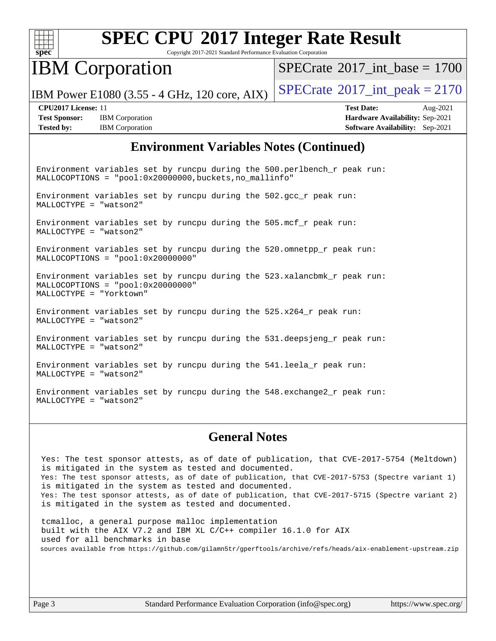

Copyright 2017-2021 Standard Performance Evaluation Corporation

## IBM Corporation

[SPECrate](http://www.spec.org/auto/cpu2017/Docs/result-fields.html#SPECrate2017intbase)®2017 int\_base =  $1700$ 

IBM Power E1080 (3.55 - 4 GHz, 120 core, AIX)  $\left| \text{SPECrate} \right|^{2}$  $\left| \text{SPECrate} \right|^{2}$  $\left| \text{SPECrate} \right|^{2}$  SPEC  $\left| \text{Crate} \right|^{2}$ 

**[Test Sponsor:](http://www.spec.org/auto/cpu2017/Docs/result-fields.html#TestSponsor)** IBM Corporation **[Hardware Availability:](http://www.spec.org/auto/cpu2017/Docs/result-fields.html#HardwareAvailability)** Sep-2021 **[Tested by:](http://www.spec.org/auto/cpu2017/Docs/result-fields.html#Testedby)** IBM Corporation **[Software Availability:](http://www.spec.org/auto/cpu2017/Docs/result-fields.html#SoftwareAvailability)** Sep-2021

**[CPU2017 License:](http://www.spec.org/auto/cpu2017/Docs/result-fields.html#CPU2017License)** 11 **[Test Date:](http://www.spec.org/auto/cpu2017/Docs/result-fields.html#TestDate)** Aug-2021

#### **[Environment Variables Notes \(Continued\)](http://www.spec.org/auto/cpu2017/Docs/result-fields.html#EnvironmentVariablesNotes)**

Environment variables set by runcpu during the 500.perlbench\_r peak run: MALLOCOPTIONS = "pool:0x20000000,buckets,no\_mallinfo"

Environment variables set by runcpu during the 502.gcc\_r peak run: MALLOCTYPE = "watson2"

Environment variables set by runcpu during the 505.mcf\_r peak run: MALLOCTYPE = "watson2"

Environment variables set by runcpu during the 520.omnetpp\_r peak run: MALLOCOPTIONS = "pool:0x20000000"

Environment variables set by runcpu during the 523.xalancbmk\_r peak run: MALLOCOPTIONS = "pool:0x20000000" MALLOCTYPE = "Yorktown"

Environment variables set by runcpu during the  $525.x264_r$  peak run: MALLOCTYPE = "watson2"

Environment variables set by runcpu during the 531.deepsjeng\_r peak run: MALLOCTYPE = "watson2"

Environment variables set by runcpu during the 541.leela\_r peak run: MALLOCTYPE = "watson2"

Environment variables set by runcpu during the 548.exchange2\_r peak run: MALLOCTYPE = "watson2"

#### **[General Notes](http://www.spec.org/auto/cpu2017/Docs/result-fields.html#GeneralNotes)**

 Yes: The test sponsor attests, as of date of publication, that CVE-2017-5754 (Meltdown) is mitigated in the system as tested and documented. Yes: The test sponsor attests, as of date of publication, that CVE-2017-5753 (Spectre variant 1) is mitigated in the system as tested and documented. Yes: The test sponsor attests, as of date of publication, that CVE-2017-5715 (Spectre variant 2) is mitigated in the system as tested and documented.

 tcmalloc, a general purpose malloc implementation built with the AIX V7.2 and IBM XL C/C++ compiler 16.1.0 for AIX used for all benchmarks in base sources available from <https://github.com/gilamn5tr/gperftools/archive/refs/heads/aix-enablement-upstream.zip>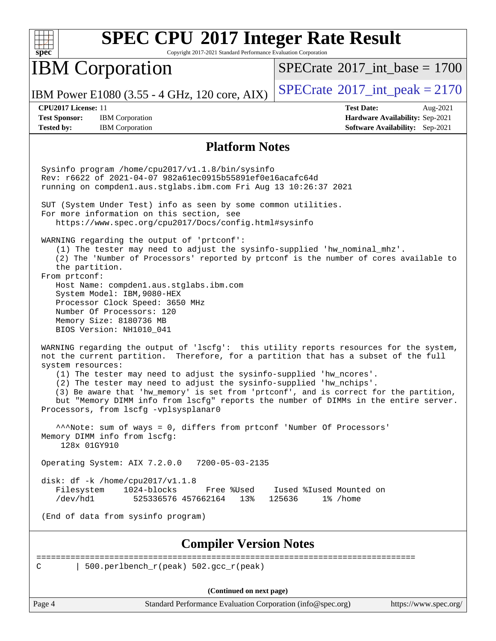| $spec^*$                                                         |                                                                                                                                                                                                                                                                                                                                                                                                                                                                                                                                                        | Copyright 2017-2021 Standard Performance Evaluation Corporation | <b>SPEC CPU®2017 Integer Rate Result</b>                    |                                                                                |
|------------------------------------------------------------------|--------------------------------------------------------------------------------------------------------------------------------------------------------------------------------------------------------------------------------------------------------------------------------------------------------------------------------------------------------------------------------------------------------------------------------------------------------------------------------------------------------------------------------------------------------|-----------------------------------------------------------------|-------------------------------------------------------------|--------------------------------------------------------------------------------|
|                                                                  | <b>IBM</b> Corporation                                                                                                                                                                                                                                                                                                                                                                                                                                                                                                                                 |                                                                 | $SPECrate^{\circ}2017$ _int_base = 1700                     |                                                                                |
|                                                                  | IBM Power E1080 (3.55 - 4 GHz, 120 core, AIX)                                                                                                                                                                                                                                                                                                                                                                                                                                                                                                          |                                                                 | $SPECrate^{\circ}2017\_int\_peak = 2170$                    |                                                                                |
| CPU2017 License: 11<br><b>Test Sponsor:</b><br><b>Tested by:</b> | <b>IBM</b> Corporation<br><b>IBM</b> Corporation                                                                                                                                                                                                                                                                                                                                                                                                                                                                                                       |                                                                 | <b>Test Date:</b>                                           | Aug-2021<br>Hardware Availability: Sep-2021<br>Software Availability: Sep-2021 |
|                                                                  |                                                                                                                                                                                                                                                                                                                                                                                                                                                                                                                                                        | <b>Platform Notes</b>                                           |                                                             |                                                                                |
|                                                                  | Sysinfo program /home/cpu2017/v1.1.8/bin/sysinfo<br>Rev: r6622 of 2021-04-07 982a61ec0915b55891ef0e16acafc64d<br>running on compdenl.aus.stglabs.ibm.com Fri Aug 13 10:26:37 2021<br>SUT (System Under Test) info as seen by some common utilities.                                                                                                                                                                                                                                                                                                    |                                                                 |                                                             |                                                                                |
|                                                                  | For more information on this section, see<br>https://www.spec.org/cpu2017/Docs/config.html#sysinfo                                                                                                                                                                                                                                                                                                                                                                                                                                                     |                                                                 |                                                             |                                                                                |
| the partition.<br>From prtconf:                                  | WARNING regarding the output of 'prtconf':<br>(1) The tester may need to adjust the sysinfo-supplied 'hw_nominal_mhz'.<br>(2) The 'Number of Processors' reported by prtconf is the number of cores available to<br>Host Name: compden1.aus.stglabs.ibm.com<br>System Model: IBM, 9080-HEX<br>Processor Clock Speed: 3650 MHz<br>Number Of Processors: 120<br>Memory Size: 8180736 MB<br>BIOS Version: NH1010_041                                                                                                                                      |                                                                 |                                                             |                                                                                |
| system resources:                                                | WARNING regarding the output of 'lscfg': this utility reports resources for the system,<br>not the current partition. Therefore, for a partition that has a subset of the full<br>(1) The tester may need to adjust the sysinfo-supplied 'hw_ncores'.<br>(2) The tester may need to adjust the sysinfo-supplied 'hw_nchips'.<br>(3) Be aware that 'hw_memory' is set from 'prtconf', and is correct for the partition,<br>but "Memory DIMM info from lscfg" reports the number of DIMMs in the entire server.<br>Processors, from lscfg -vplsysplanar0 |                                                                 |                                                             |                                                                                |
| 128x 01GY910                                                     | ***Note: sum of ways = 0, differs from prtconf 'Number Of Processors'<br>Memory DIMM info from lscfg:                                                                                                                                                                                                                                                                                                                                                                                                                                                  |                                                                 |                                                             |                                                                                |
|                                                                  | Operating System: AIX 7.2.0.0                                                                                                                                                                                                                                                                                                                                                                                                                                                                                                                          | 7200-05-03-2135                                                 |                                                             |                                                                                |
| Filesystem<br>/dev/hd1                                           | disk: $df - k$ /home/cpu2017/v1.1.8<br>1024-blocks<br>525336576 457662164                                                                                                                                                                                                                                                                                                                                                                                                                                                                              | Free %Used<br>13%                                               | Iused %Iused Mounted on<br>125636<br>1% /home               |                                                                                |
|                                                                  | (End of data from sysinfo program)                                                                                                                                                                                                                                                                                                                                                                                                                                                                                                                     |                                                                 |                                                             |                                                                                |
|                                                                  |                                                                                                                                                                                                                                                                                                                                                                                                                                                                                                                                                        | <b>Compiler Version Notes</b>                                   |                                                             |                                                                                |
| С                                                                | 500.perlbench_r(peak) 502.gcc_r(peak)                                                                                                                                                                                                                                                                                                                                                                                                                                                                                                                  |                                                                 |                                                             |                                                                                |
|                                                                  |                                                                                                                                                                                                                                                                                                                                                                                                                                                                                                                                                        | (Continued on next page)                                        |                                                             |                                                                                |
| Page 4                                                           |                                                                                                                                                                                                                                                                                                                                                                                                                                                                                                                                                        |                                                                 | Standard Performance Evaluation Corporation (info@spec.org) | https://www.spec.org/                                                          |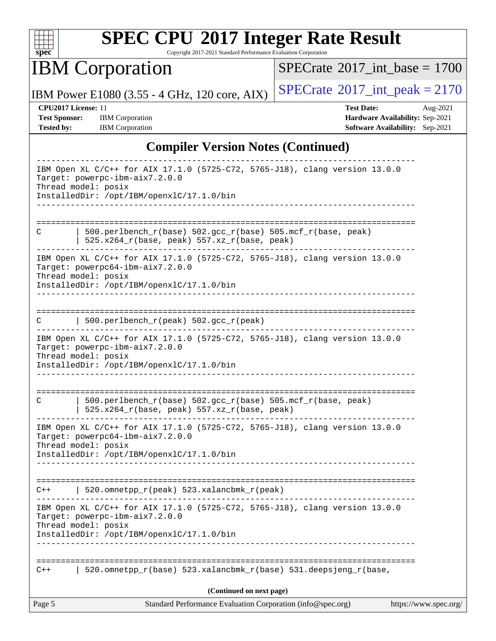

Copyright 2017-2021 Standard Performance Evaluation Corporation

IBM Corporation

 $SPECTate$ <sup>®</sup>[2017\\_int\\_base =](http://www.spec.org/auto/cpu2017/Docs/result-fields.html#SPECrate2017intbase) 1700

IBM Power E1080 (3.55 - 4 GHz, 120 core, AIX)  $\left| \text{SPECTate} \degree 2017 \_\text{int\_peak} = 2170$ 

**[Test Sponsor:](http://www.spec.org/auto/cpu2017/Docs/result-fields.html#TestSponsor)** IBM Corporation **[Hardware Availability:](http://www.spec.org/auto/cpu2017/Docs/result-fields.html#HardwareAvailability)** Sep-2021 **[Tested by:](http://www.spec.org/auto/cpu2017/Docs/result-fields.html#Testedby)** IBM Corporation **[Software Availability:](http://www.spec.org/auto/cpu2017/Docs/result-fields.html#SoftwareAvailability)** Sep-2021

**[CPU2017 License:](http://www.spec.org/auto/cpu2017/Docs/result-fields.html#CPU2017License)** 11 **[Test Date:](http://www.spec.org/auto/cpu2017/Docs/result-fields.html#TestDate)** Aug-2021

#### **[Compiler Version Notes \(Continued\)](http://www.spec.org/auto/cpu2017/Docs/result-fields.html#CompilerVersionNotes)**

| Standard Performance Evaluation Corporation (info@spec.org)<br>Page 5                                                                  | https://www.spec.org/ |
|----------------------------------------------------------------------------------------------------------------------------------------|-----------------------|
| (Continued on next page)                                                                                                               |                       |
| 520.omnetpp_r(base) 523.xalancbmk_r(base) 531.deepsjeng_r(base,<br>$C++$                                                               |                       |
| InstalledDir: /opt/IBM/openxlC/17.1.0/bin                                                                                              |                       |
| Target: powerpc-ibm-aix7.2.0.0<br>Thread model: posix                                                                                  |                       |
| -------------<br>IBM Open XL C/C++ for AIX 17.1.0 (5725-C72, 5765-J18), clang version 13.0.0                                           |                       |
| 520.omnetpp_r(peak) 523.xalancbmk_r(peak)<br>$C++$                                                                                     |                       |
| InstalledDir: /opt/IBM/openxlC/17.1.0/bin                                                                                              |                       |
| IBM Open XL C/C++ for AIX 17.1.0 (5725-C72, 5765-J18), clang version 13.0.0<br>Target: powerpc64-ibm-aix7.2.0.0<br>Thread model: posix |                       |
| 500.perlbench_r(base) 502.gcc_r(base) 505.mcf_r(base, peak)<br>C<br>525.x264_r(base, peak) 557.xz_r(base, peak)                        |                       |
| Target: powerpc-ibm-aix7.2.0.0<br>Thread model: posix<br>InstalledDir: /opt/IBM/openxlC/17.1.0/bin                                     |                       |
| IBM Open XL C/C++ for AIX 17.1.0 (5725-C72, 5765-J18), clang version 13.0.0                                                            |                       |
| 500.perlbench_r(peak) 502.gcc_r(peak)<br>C                                                                                             |                       |
| Thread model: posix<br>InstalledDir: /opt/IBM/openxlC/17.1.0/bin                                                                       |                       |
| IBM Open XL C/C++ for AIX 17.1.0 (5725-C72, 5765-J18), clang version 13.0.0<br>Target: powerpc64-ibm-aix7.2.0.0                        |                       |
| $500. perlbench_r(base) 502. gcc_r(base) 505.mcf_r(base, peak)$<br>C<br>$525.x264_r(base, peak) 557.xz_r(base, peak)$                  |                       |
|                                                                                                                                        |                       |
| Target: powerpc-ibm-aix7.2.0.0<br>Thread model: posix<br>InstalledDir: /opt/IBM/openxlC/17.1.0/bin                                     |                       |
| IBM Open XL C/C++ for AIX 17.1.0 (5725-C72, 5765-J18), clang version 13.0.0                                                            |                       |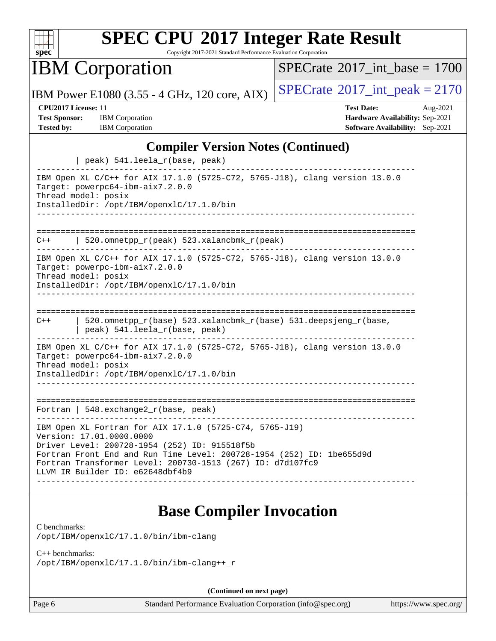

Copyright 2017-2021 Standard Performance Evaluation Corporation

IBM Corporation

 $SPECTate$ <sup>®</sup>[2017\\_int\\_base =](http://www.spec.org/auto/cpu2017/Docs/result-fields.html#SPECrate2017intbase) 1700

IBM Power E1080 (3.55 - 4 GHz, 120 core, AIX) [SPECrate](http://www.spec.org/auto/cpu2017/Docs/result-fields.html#SPECrate2017intpeak)®[2017\\_int\\_peak = 2](http://www.spec.org/auto/cpu2017/Docs/result-fields.html#SPECrate2017intpeak)170

| <b>CPU2017 License: 11</b> |                        | <b>Test Date:</b>                      | Aug- $2021$ |
|----------------------------|------------------------|----------------------------------------|-------------|
| <b>Test Sponsor:</b>       | <b>IBM</b> Corporation | <b>Hardware Availability: Sep-2021</b> |             |
| <b>Tested by:</b>          | <b>IBM</b> Corporation | <b>Software Availability:</b> Sep-2021 |             |

#### **[Compiler Version Notes \(Continued\)](http://www.spec.org/auto/cpu2017/Docs/result-fields.html#CompilerVersionNotes)**

| peak) 541.leela_r(base, peak)                                                                                                                                                                                                                                                                                   |
|-----------------------------------------------------------------------------------------------------------------------------------------------------------------------------------------------------------------------------------------------------------------------------------------------------------------|
| IBM Open XL C/C++ for AIX 17.1.0 (5725-C72, 5765-J18), clang version 13.0.0<br>Target: powerpc64-ibm-aix7.2.0.0<br>Thread model: posix<br>InstalledDir: /opt/IBM/openxlC/17.1.0/bin                                                                                                                             |
| 520.omnetpp_r(peak) 523.xalancbmk_r(peak)<br>C++                                                                                                                                                                                                                                                                |
| IBM Open XL C/C++ for AIX 17.1.0 (5725-C72, 5765-J18), clang version 13.0.0<br>Target: powerpc-ibm-aix7.2.0.0<br>Thread model: posix<br>InstalledDir: /opt/IBM/openxlC/17.1.0/bin                                                                                                                               |
|                                                                                                                                                                                                                                                                                                                 |
| 520.omnetpp_r(base) 523.xalancbmk_r(base) 531.deepsjeng_r(base,<br>$C++$<br>peak) 541.leela_r(base, peak)                                                                                                                                                                                                       |
| IBM Open XL C/C++ for AIX 17.1.0 (5725-C72, 5765-J18), clang version 13.0.0<br>Target: powerpc64-ibm-aix7.2.0.0<br>Thread model: posix<br>InstalledDir: /opt/IBM/openxlC/17.1.0/bin                                                                                                                             |
|                                                                                                                                                                                                                                                                                                                 |
| Fortran   548. exchange $2r(base, peak)$                                                                                                                                                                                                                                                                        |
| IBM Open XL Fortran for AIX 17.1.0 (5725-C74, 5765-J19)<br>Version: 17.01.0000.0000<br>Driver Level: 200728-1954 (252) ID: 915518f5b<br>Fortran Front End and Run Time Level: 200728-1954 (252) ID: 1be655d9d<br>Fortran Transformer Level: 200730-1513 (267) ID: d7d107fc9<br>LLVM IR Builder ID: e62648dbf4b9 |

### **[Base Compiler Invocation](http://www.spec.org/auto/cpu2017/Docs/result-fields.html#BaseCompilerInvocation)**

[C benchmarks](http://www.spec.org/auto/cpu2017/Docs/result-fields.html#Cbenchmarks):

[/opt/IBM/openxlC/17.1.0/bin/ibm-clang](http://www.spec.org/cpu2017/results/res2021q3/cpu2017-20210814-28679.flags.html#user_CCbase_ibm-clang_9f774c9615befa77c112f013b6c2565281113a2b1537333df0ab287bf7fa8f472d6793bc00be696b05b17883634a7b919aad0784a968df7fe4b14f6ed9819d67)

#### [C++ benchmarks:](http://www.spec.org/auto/cpu2017/Docs/result-fields.html#CXXbenchmarks)

[/opt/IBM/openxlC/17.1.0/bin/ibm-clang++\\_r](http://www.spec.org/cpu2017/results/res2021q3/cpu2017-20210814-28679.flags.html#user_CXXbase_ibm-clangxx_dac66322419d6d0ac209e4fe4cf55488a8041e4f4daede0152aea26bacfbf569839a7bed5e34b10492e0eda1206d45bc252a3ddd1404ef6c00452463fe1a96b4)

**(Continued on next page)**

Page 6 Standard Performance Evaluation Corporation [\(info@spec.org\)](mailto:info@spec.org) <https://www.spec.org/>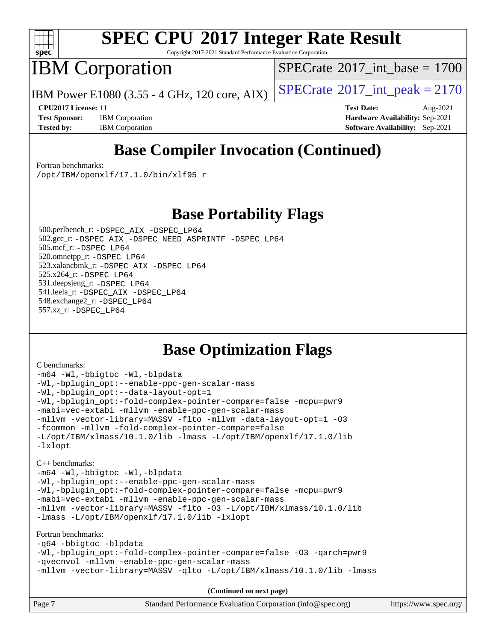

Copyright 2017-2021 Standard Performance Evaluation Corporation

IBM Corporation

[SPECrate](http://www.spec.org/auto/cpu2017/Docs/result-fields.html#SPECrate2017intbase)<sup>®</sup>2017 int\_base = 1700

IBM Power E1080 (3.55 - 4 GHz, 120 core, AIX)  $\left| \text{SPECrate} \right|^{2}$  $\left| \text{SPECrate} \right|^{2}$  $\left| \text{SPECrate} \right|^{2}$  SPEC  $\left| \text{Crate} \right|^{2}$ 

**[Test Sponsor:](http://www.spec.org/auto/cpu2017/Docs/result-fields.html#TestSponsor)** IBM Corporation **[Hardware Availability:](http://www.spec.org/auto/cpu2017/Docs/result-fields.html#HardwareAvailability)** Sep-2021 **[Tested by:](http://www.spec.org/auto/cpu2017/Docs/result-fields.html#Testedby)** IBM Corporation **[Software Availability:](http://www.spec.org/auto/cpu2017/Docs/result-fields.html#SoftwareAvailability)** Sep-2021

**[CPU2017 License:](http://www.spec.org/auto/cpu2017/Docs/result-fields.html#CPU2017License)** 11 **[Test Date:](http://www.spec.org/auto/cpu2017/Docs/result-fields.html#TestDate)** Aug-2021

## **[Base Compiler Invocation \(Continued\)](http://www.spec.org/auto/cpu2017/Docs/result-fields.html#BaseCompilerInvocation)**

[Fortran benchmarks](http://www.spec.org/auto/cpu2017/Docs/result-fields.html#Fortranbenchmarks):

[/opt/IBM/openxlf/17.1.0/bin/xlf95\\_r](http://www.spec.org/cpu2017/results/res2021q3/cpu2017-20210814-28679.flags.html#user_FCbase_xlf95_r_0e028344bd5307e0dfcacda847ffe6884d6a9fde2193250c97185d56fcad406aa881dd5ed9810f98abd0d672f6d1ed7cd49e3dfad651494a64564a2de329dd1d)

**[Base Portability Flags](http://www.spec.org/auto/cpu2017/Docs/result-fields.html#BasePortabilityFlags)**

 500.perlbench\_r: [-DSPEC\\_AIX](http://www.spec.org/cpu2017/results/res2021q3/cpu2017-20210814-28679.flags.html#b500.perlbench_r_baseCPORTABILITY_DSPEC_AIX) [-DSPEC\\_LP64](http://www.spec.org/cpu2017/results/res2021q3/cpu2017-20210814-28679.flags.html#b500.perlbench_r_baseEXTRA_PORTABILITY_DSPEC_LP64) 502.gcc\_r: [-DSPEC\\_AIX](http://www.spec.org/cpu2017/results/res2021q3/cpu2017-20210814-28679.flags.html#b502.gcc_r_baseCPORTABILITY_DSPEC_AIX) [-DSPEC\\_NEED\\_ASPRINTF](http://www.spec.org/cpu2017/results/res2021q3/cpu2017-20210814-28679.flags.html#b502.gcc_r_baseCPORTABILITY_DSPEC_NEED_ASPRINTF) [-DSPEC\\_LP64](http://www.spec.org/cpu2017/results/res2021q3/cpu2017-20210814-28679.flags.html#suite_baseEXTRA_PORTABILITY502_gcc_r_DSPEC_LP64) 505.mcf\_r: [-DSPEC\\_LP64](http://www.spec.org/cpu2017/results/res2021q3/cpu2017-20210814-28679.flags.html#suite_baseEXTRA_PORTABILITY505_mcf_r_DSPEC_LP64) 520.omnetpp\_r: [-DSPEC\\_LP64](http://www.spec.org/cpu2017/results/res2021q3/cpu2017-20210814-28679.flags.html#suite_baseEXTRA_PORTABILITY520_omnetpp_r_DSPEC_LP64) 523.xalancbmk\_r: [-DSPEC\\_AIX](http://www.spec.org/cpu2017/results/res2021q3/cpu2017-20210814-28679.flags.html#b523.xalancbmk_r_baseCXXPORTABILITY_DSPEC_AIX) [-DSPEC\\_LP64](http://www.spec.org/cpu2017/results/res2021q3/cpu2017-20210814-28679.flags.html#suite_baseEXTRA_PORTABILITY523_xalancbmk_r_DSPEC_LP64) 525.x264\_r: [-DSPEC\\_LP64](http://www.spec.org/cpu2017/results/res2021q3/cpu2017-20210814-28679.flags.html#suite_baseEXTRA_PORTABILITY525_x264_r_DSPEC_LP64) 531.deepsjeng\_r: [-DSPEC\\_LP64](http://www.spec.org/cpu2017/results/res2021q3/cpu2017-20210814-28679.flags.html#suite_baseEXTRA_PORTABILITY531_deepsjeng_r_DSPEC_LP64) 541.leela\_r: [-DSPEC\\_AIX](http://www.spec.org/cpu2017/results/res2021q3/cpu2017-20210814-28679.flags.html#b541.leela_r_baseCXXPORTABILITY_DSPEC_AIX) [-DSPEC\\_LP64](http://www.spec.org/cpu2017/results/res2021q3/cpu2017-20210814-28679.flags.html#suite_baseEXTRA_PORTABILITY541_leela_r_DSPEC_LP64) 548.exchange2\_r: [-DSPEC\\_LP64](http://www.spec.org/cpu2017/results/res2021q3/cpu2017-20210814-28679.flags.html#suite_baseEXTRA_PORTABILITY548_exchange2_r_DSPEC_LP64) 557.xz\_r: [-DSPEC\\_LP64](http://www.spec.org/cpu2017/results/res2021q3/cpu2017-20210814-28679.flags.html#suite_baseEXTRA_PORTABILITY557_xz_r_DSPEC_LP64)

### **[Base Optimization Flags](http://www.spec.org/auto/cpu2017/Docs/result-fields.html#BaseOptimizationFlags)**

[C benchmarks](http://www.spec.org/auto/cpu2017/Docs/result-fields.html#Cbenchmarks):

[-m64](http://www.spec.org/cpu2017/results/res2021q3/cpu2017-20210814-28679.flags.html#user_CCbase_F-m64) [-Wl,-bbigtoc](http://www.spec.org/cpu2017/results/res2021q3/cpu2017-20210814-28679.flags.html#user_CCbase_F-bbigtoc_b1f60ef144d59f387cf56647f5d9760a1da61d3137773b2d872fe80d560db832b7a848e013c9f028e34f9ee45ecfdf728069b0bb51cabce3e474952ab898194c) [-Wl,-blpdata](http://www.spec.org/cpu2017/results/res2021q3/cpu2017-20210814-28679.flags.html#user_CCbase_F-blpdata_e5198c7c2ecc9e43d824f0ca238f7383bd692e4e2f7cb34e587f13ab0836441f0e1069d2464060d355452835188273ae5c4d3a3543a000824dfb4ed8f48654d9) [-Wl,-bplugin\\_opt:--enable-ppc-gen-scalar-mass](http://www.spec.org/cpu2017/results/res2021q3/cpu2017-20210814-28679.flags.html#user_CCbase_F--enable-ppc-gen-scalar-mass_90c7eaebb326e65cde163ce93cb096d759e1fe488aaf604c30f1c960750955167859810a96e25e0e5648ab9c877fa52afc6dc029767c505b3d47992c189a9c83) [-Wl,-bplugin\\_opt:--data-layout-opt=1](http://www.spec.org/cpu2017/results/res2021q3/cpu2017-20210814-28679.flags.html#user_CCbase_F-linker-data-layout-opt_fe0762a6b5cb55dad267b4448b2f8965fced10b8461895e7764a1e76b830afc1385c5dac76eee05653c3aac00ca444940b0b9cc6acab2ebd70e0a4316e07b302) [-Wl,-bplugin\\_opt:-fold-complex-pointer-compare=false](http://www.spec.org/cpu2017/results/res2021q3/cpu2017-20210814-28679.flags.html#user_CCbase_F-linker-fold-complex-pointer-compare_30752d660fbba89f4a6b1f91d89016102fa0a16c35a1c9c6ba435ca46ff633b36cc8d4a459005de90b5ac6ffc757fad61eb0272c17d5d1d6e4cf728112c6c2f5) [-mcpu=pwr9](http://www.spec.org/cpu2017/results/res2021q3/cpu2017-20210814-28679.flags.html#user_CCbase_F-mcpu_5d980224ea2195a044ed01a34ae98c1a4fdff6306674b4acc150928d0f0d5914825ac979935ad645b959ca0421d69f927445e0d86aab9ca98aa6e38716053eca) [-mabi=vec-extabi](http://www.spec.org/cpu2017/results/res2021q3/cpu2017-20210814-28679.flags.html#user_CCbase_F-mabi) [-mllvm -enable-ppc-gen-scalar-mass](http://www.spec.org/cpu2017/results/res2021q3/cpu2017-20210814-28679.flags.html#user_CCbase_F-enable-ppc-gen-scalar-mass_19d61abb0ffc7dd917f10120309184a69643c3b4c419acbd6520dae9c6faf53e38a24336dde3427d1d9a7d8eb44cd246ab3231b3e186f97d7cedfcb739e6de07) [-mllvm -vector-library=MASSV](http://www.spec.org/cpu2017/results/res2021q3/cpu2017-20210814-28679.flags.html#user_CCbase_F-vector-library_7bfd05c50ee60fdc6a36c02ad6fee1805c77076ffe2ac4d04c3541dceb44261f98d22390599f975564efa94bbd3bea0128f107054dbc8089ea864436da294e64) [-flto](http://www.spec.org/cpu2017/results/res2021q3/cpu2017-20210814-28679.flags.html#user_CCbase_F-flto) [-mllvm -data-layout-opt=1](http://www.spec.org/cpu2017/results/res2021q3/cpu2017-20210814-28679.flags.html#user_CCbase_F-data-layout-opt_f491318f4d3c7014c4e58773a186b2497ac81c29c74ea63cb5b700ab9e16dd307762c9853da5b0d25370dfc1ff8c226087ac7a3c839cc1c87e0ba270a75e2333) [-O3](http://www.spec.org/cpu2017/results/res2021q3/cpu2017-20210814-28679.flags.html#user_CCbase_F-O3) [-fcommon](http://www.spec.org/cpu2017/results/res2021q3/cpu2017-20210814-28679.flags.html#user_CCbase_F-fcommon) [-mllvm -fold-complex-pointer-compare=false](http://www.spec.org/cpu2017/results/res2021q3/cpu2017-20210814-28679.flags.html#user_CCbase_F-fold-complex-pointer-compare_49d067b19d7a253e55a1bfd555e7f1ed3800d350a7d3022c267ac184eb39ba82fdb1559e27940297a111902521b482f74516ef11255d672a08eda431a8814605) [-L/opt/IBM/xlmass/10.1.0/lib](http://www.spec.org/cpu2017/results/res2021q3/cpu2017-20210814-28679.flags.html#user_CCbase_F-L_8a801f934146618e620278765a5ef90b8c915cc192c942ec4017754dc6ea911fc6076e10a4bee61092241cf5e08886d583c12c38bed894ebec63a08529138947) [-lmass](http://www.spec.org/cpu2017/results/res2021q3/cpu2017-20210814-28679.flags.html#user_CCbase_F-lmass) [-L/opt/IBM/openxlf/17.1.0/lib](http://www.spec.org/cpu2017/results/res2021q3/cpu2017-20210814-28679.flags.html#user_CCbase_F-L_add4bab88a6c42c88e302f591c73bb72937ef64e579693abc59aa2e1fd2665ec6fc9d43c422cf6dbfb0a7c937a1bb302f576036cf20ceb47a619d9b704399be1) [-lxlopt](http://www.spec.org/cpu2017/results/res2021q3/cpu2017-20210814-28679.flags.html#user_CCbase_F-lxlopt)

[C++ benchmarks:](http://www.spec.org/auto/cpu2017/Docs/result-fields.html#CXXbenchmarks)

[-m64](http://www.spec.org/cpu2017/results/res2021q3/cpu2017-20210814-28679.flags.html#user_CXXbase_F-m64) [-Wl,-bbigtoc](http://www.spec.org/cpu2017/results/res2021q3/cpu2017-20210814-28679.flags.html#user_CXXbase_F-bbigtoc_b1f60ef144d59f387cf56647f5d9760a1da61d3137773b2d872fe80d560db832b7a848e013c9f028e34f9ee45ecfdf728069b0bb51cabce3e474952ab898194c) [-Wl,-blpdata](http://www.spec.org/cpu2017/results/res2021q3/cpu2017-20210814-28679.flags.html#user_CXXbase_F-blpdata_e5198c7c2ecc9e43d824f0ca238f7383bd692e4e2f7cb34e587f13ab0836441f0e1069d2464060d355452835188273ae5c4d3a3543a000824dfb4ed8f48654d9) [-Wl,-bplugin\\_opt:--enable-ppc-gen-scalar-mass](http://www.spec.org/cpu2017/results/res2021q3/cpu2017-20210814-28679.flags.html#user_CXXbase_F--enable-ppc-gen-scalar-mass_90c7eaebb326e65cde163ce93cb096d759e1fe488aaf604c30f1c960750955167859810a96e25e0e5648ab9c877fa52afc6dc029767c505b3d47992c189a9c83) [-Wl,-bplugin\\_opt:-fold-complex-pointer-compare=false](http://www.spec.org/cpu2017/results/res2021q3/cpu2017-20210814-28679.flags.html#user_CXXbase_F-linker-fold-complex-pointer-compare_30752d660fbba89f4a6b1f91d89016102fa0a16c35a1c9c6ba435ca46ff633b36cc8d4a459005de90b5ac6ffc757fad61eb0272c17d5d1d6e4cf728112c6c2f5) [-mcpu=pwr9](http://www.spec.org/cpu2017/results/res2021q3/cpu2017-20210814-28679.flags.html#user_CXXbase_F-mcpu_5d980224ea2195a044ed01a34ae98c1a4fdff6306674b4acc150928d0f0d5914825ac979935ad645b959ca0421d69f927445e0d86aab9ca98aa6e38716053eca) [-mabi=vec-extabi](http://www.spec.org/cpu2017/results/res2021q3/cpu2017-20210814-28679.flags.html#user_CXXbase_F-mabi) [-mllvm -enable-ppc-gen-scalar-mass](http://www.spec.org/cpu2017/results/res2021q3/cpu2017-20210814-28679.flags.html#user_CXXbase_F-enable-ppc-gen-scalar-mass_19d61abb0ffc7dd917f10120309184a69643c3b4c419acbd6520dae9c6faf53e38a24336dde3427d1d9a7d8eb44cd246ab3231b3e186f97d7cedfcb739e6de07) [-mllvm -vector-library=MASSV](http://www.spec.org/cpu2017/results/res2021q3/cpu2017-20210814-28679.flags.html#user_CXXbase_F-vector-library_7bfd05c50ee60fdc6a36c02ad6fee1805c77076ffe2ac4d04c3541dceb44261f98d22390599f975564efa94bbd3bea0128f107054dbc8089ea864436da294e64) [-flto](http://www.spec.org/cpu2017/results/res2021q3/cpu2017-20210814-28679.flags.html#user_CXXbase_F-flto) [-O3](http://www.spec.org/cpu2017/results/res2021q3/cpu2017-20210814-28679.flags.html#user_CXXbase_F-O3) [-L/opt/IBM/xlmass/10.1.0/lib](http://www.spec.org/cpu2017/results/res2021q3/cpu2017-20210814-28679.flags.html#user_CXXbase_F-L_8a801f934146618e620278765a5ef90b8c915cc192c942ec4017754dc6ea911fc6076e10a4bee61092241cf5e08886d583c12c38bed894ebec63a08529138947) [-lmass](http://www.spec.org/cpu2017/results/res2021q3/cpu2017-20210814-28679.flags.html#user_CXXbase_F-lmass) [-L/opt/IBM/openxlf/17.1.0/lib](http://www.spec.org/cpu2017/results/res2021q3/cpu2017-20210814-28679.flags.html#user_CXXbase_F-L_add4bab88a6c42c88e302f591c73bb72937ef64e579693abc59aa2e1fd2665ec6fc9d43c422cf6dbfb0a7c937a1bb302f576036cf20ceb47a619d9b704399be1) [-lxlopt](http://www.spec.org/cpu2017/results/res2021q3/cpu2017-20210814-28679.flags.html#user_CXXbase_F-lxlopt)

[Fortran benchmarks](http://www.spec.org/auto/cpu2017/Docs/result-fields.html#Fortranbenchmarks): [-q64](http://www.spec.org/cpu2017/results/res2021q3/cpu2017-20210814-28679.flags.html#user_FCbase_F-q64_bf9cf96a584de961ac5a0892d8665cb072b51f198e84cc9807e09f70539d8b447eab2e8dc1ef2e4ee9d9318eb1a273d1ce795af5ed5bd4d5f81dd8d68091a836) [-bbigtoc](http://www.spec.org/cpu2017/results/res2021q3/cpu2017-20210814-28679.flags.html#user_FCbase_F-bbigtoc) [-blpdata](http://www.spec.org/cpu2017/results/res2021q3/cpu2017-20210814-28679.flags.html#user_FCbase_F-blpdata) [-Wl,-bplugin\\_opt:-fold-complex-pointer-compare=false](http://www.spec.org/cpu2017/results/res2021q3/cpu2017-20210814-28679.flags.html#user_FCbase_F-linker-fold-complex-pointer-compare_30752d660fbba89f4a6b1f91d89016102fa0a16c35a1c9c6ba435ca46ff633b36cc8d4a459005de90b5ac6ffc757fad61eb0272c17d5d1d6e4cf728112c6c2f5) [-O3](http://www.spec.org/cpu2017/results/res2021q3/cpu2017-20210814-28679.flags.html#user_FCbase_F-O3) [-qarch=pwr9](http://www.spec.org/cpu2017/results/res2021q3/cpu2017-20210814-28679.flags.html#user_FCbase_F-qarch_2d3a35d6c2182a9441aee314a6c97719f234e8403d853daaa12f3f737fa1c3e361db8840f9677a0cbdf7659e02149a049764462cc1681baa4f031c7d8b6b9151) [-qvecnvol](http://www.spec.org/cpu2017/results/res2021q3/cpu2017-20210814-28679.flags.html#user_FCbase_F-qvecnvol) [-mllvm -enable-ppc-gen-scalar-mass](http://www.spec.org/cpu2017/results/res2021q3/cpu2017-20210814-28679.flags.html#user_FCbase_F-enable-ppc-gen-scalar-mass_19d61abb0ffc7dd917f10120309184a69643c3b4c419acbd6520dae9c6faf53e38a24336dde3427d1d9a7d8eb44cd246ab3231b3e186f97d7cedfcb739e6de07) [-mllvm -vector-library=MASSV](http://www.spec.org/cpu2017/results/res2021q3/cpu2017-20210814-28679.flags.html#user_FCbase_F-vector-library_7bfd05c50ee60fdc6a36c02ad6fee1805c77076ffe2ac4d04c3541dceb44261f98d22390599f975564efa94bbd3bea0128f107054dbc8089ea864436da294e64) [-qlto](http://www.spec.org/cpu2017/results/res2021q3/cpu2017-20210814-28679.flags.html#user_FCbase_F-qlto) [-L/opt/IBM/xlmass/10.1.0/lib](http://www.spec.org/cpu2017/results/res2021q3/cpu2017-20210814-28679.flags.html#user_FCbase_F-L_8a801f934146618e620278765a5ef90b8c915cc192c942ec4017754dc6ea911fc6076e10a4bee61092241cf5e08886d583c12c38bed894ebec63a08529138947) [-lmass](http://www.spec.org/cpu2017/results/res2021q3/cpu2017-20210814-28679.flags.html#user_FCbase_F-lmass)

**(Continued on next page)**

| Page 7 | Standard Performance Evaluation Corporation (info@spec.org) | https://www.spec.org/ |
|--------|-------------------------------------------------------------|-----------------------|
|--------|-------------------------------------------------------------|-----------------------|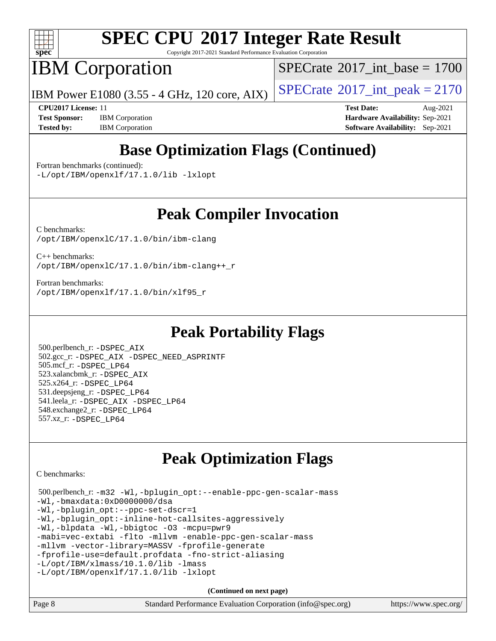

Copyright 2017-2021 Standard Performance Evaluation Corporation

## IBM Corporation

[SPECrate](http://www.spec.org/auto/cpu2017/Docs/result-fields.html#SPECrate2017intbase)<sup>®</sup>2017 int\_base = 1700

IBM Power E1080 (3.55 - 4 GHz, 120 core, AIX)  $\left| \text{SPECrate} \right|^{2}$  $\left| \text{SPECrate} \right|^{2}$  $\left| \text{SPECrate} \right|^{2}$  SPEC  $\left| \text{Crate} \right|^{2}$ 

**[Test Sponsor:](http://www.spec.org/auto/cpu2017/Docs/result-fields.html#TestSponsor)** IBM Corporation **[Hardware Availability:](http://www.spec.org/auto/cpu2017/Docs/result-fields.html#HardwareAvailability)** Sep-2021 **[Tested by:](http://www.spec.org/auto/cpu2017/Docs/result-fields.html#Testedby)** IBM Corporation **[Software Availability:](http://www.spec.org/auto/cpu2017/Docs/result-fields.html#SoftwareAvailability)** Sep-2021

**[CPU2017 License:](http://www.spec.org/auto/cpu2017/Docs/result-fields.html#CPU2017License)** 11 **[Test Date:](http://www.spec.org/auto/cpu2017/Docs/result-fields.html#TestDate)** Aug-2021

## **[Base Optimization Flags \(Continued\)](http://www.spec.org/auto/cpu2017/Docs/result-fields.html#BaseOptimizationFlags)**

[Fortran benchmarks](http://www.spec.org/auto/cpu2017/Docs/result-fields.html#Fortranbenchmarks) (continued):

[-L/opt/IBM/openxlf/17.1.0/lib](http://www.spec.org/cpu2017/results/res2021q3/cpu2017-20210814-28679.flags.html#user_FCbase_F-L_add4bab88a6c42c88e302f591c73bb72937ef64e579693abc59aa2e1fd2665ec6fc9d43c422cf6dbfb0a7c937a1bb302f576036cf20ceb47a619d9b704399be1) [-lxlopt](http://www.spec.org/cpu2017/results/res2021q3/cpu2017-20210814-28679.flags.html#user_FCbase_F-lxlopt)

### **[Peak Compiler Invocation](http://www.spec.org/auto/cpu2017/Docs/result-fields.html#PeakCompilerInvocation)**

[C benchmarks](http://www.spec.org/auto/cpu2017/Docs/result-fields.html#Cbenchmarks): [/opt/IBM/openxlC/17.1.0/bin/ibm-clang](http://www.spec.org/cpu2017/results/res2021q3/cpu2017-20210814-28679.flags.html#user_CCpeak_ibm-clang_9f774c9615befa77c112f013b6c2565281113a2b1537333df0ab287bf7fa8f472d6793bc00be696b05b17883634a7b919aad0784a968df7fe4b14f6ed9819d67)

[C++ benchmarks:](http://www.spec.org/auto/cpu2017/Docs/result-fields.html#CXXbenchmarks) [/opt/IBM/openxlC/17.1.0/bin/ibm-clang++\\_r](http://www.spec.org/cpu2017/results/res2021q3/cpu2017-20210814-28679.flags.html#user_CXXpeak_ibm-clangxx_dac66322419d6d0ac209e4fe4cf55488a8041e4f4daede0152aea26bacfbf569839a7bed5e34b10492e0eda1206d45bc252a3ddd1404ef6c00452463fe1a96b4)

[Fortran benchmarks](http://www.spec.org/auto/cpu2017/Docs/result-fields.html#Fortranbenchmarks): [/opt/IBM/openxlf/17.1.0/bin/xlf95\\_r](http://www.spec.org/cpu2017/results/res2021q3/cpu2017-20210814-28679.flags.html#user_FCpeak_xlf95_r_0e028344bd5307e0dfcacda847ffe6884d6a9fde2193250c97185d56fcad406aa881dd5ed9810f98abd0d672f6d1ed7cd49e3dfad651494a64564a2de329dd1d)

## **[Peak Portability Flags](http://www.spec.org/auto/cpu2017/Docs/result-fields.html#PeakPortabilityFlags)**

 500.perlbench\_r: [-DSPEC\\_AIX](http://www.spec.org/cpu2017/results/res2021q3/cpu2017-20210814-28679.flags.html#b500.perlbench_r_peakCPORTABILITY_DSPEC_AIX) 502.gcc\_r: [-DSPEC\\_AIX](http://www.spec.org/cpu2017/results/res2021q3/cpu2017-20210814-28679.flags.html#b502.gcc_r_peakCPORTABILITY_DSPEC_AIX) [-DSPEC\\_NEED\\_ASPRINTF](http://www.spec.org/cpu2017/results/res2021q3/cpu2017-20210814-28679.flags.html#b502.gcc_r_peakCPORTABILITY_DSPEC_NEED_ASPRINTF) 505.mcf\_r: [-DSPEC\\_LP64](http://www.spec.org/cpu2017/results/res2021q3/cpu2017-20210814-28679.flags.html#suite_peakEXTRA_PORTABILITY505_mcf_r_DSPEC_LP64) 523.xalancbmk\_r: [-DSPEC\\_AIX](http://www.spec.org/cpu2017/results/res2021q3/cpu2017-20210814-28679.flags.html#b523.xalancbmk_r_peakCXXPORTABILITY_DSPEC_AIX) 525.x264\_r: [-DSPEC\\_LP64](http://www.spec.org/cpu2017/results/res2021q3/cpu2017-20210814-28679.flags.html#suite_peakEXTRA_PORTABILITY525_x264_r_DSPEC_LP64) 531.deepsjeng\_r: [-DSPEC\\_LP64](http://www.spec.org/cpu2017/results/res2021q3/cpu2017-20210814-28679.flags.html#suite_peakEXTRA_PORTABILITY531_deepsjeng_r_DSPEC_LP64) 541.leela\_r: [-DSPEC\\_AIX](http://www.spec.org/cpu2017/results/res2021q3/cpu2017-20210814-28679.flags.html#b541.leela_r_peakCXXPORTABILITY_DSPEC_AIX) [-DSPEC\\_LP64](http://www.spec.org/cpu2017/results/res2021q3/cpu2017-20210814-28679.flags.html#suite_peakEXTRA_PORTABILITY541_leela_r_DSPEC_LP64) 548.exchange2\_r: [-DSPEC\\_LP64](http://www.spec.org/cpu2017/results/res2021q3/cpu2017-20210814-28679.flags.html#suite_peakEXTRA_PORTABILITY548_exchange2_r_DSPEC_LP64) 557.xz\_r: [-DSPEC\\_LP64](http://www.spec.org/cpu2017/results/res2021q3/cpu2017-20210814-28679.flags.html#suite_peakEXTRA_PORTABILITY557_xz_r_DSPEC_LP64)

## **[Peak Optimization Flags](http://www.spec.org/auto/cpu2017/Docs/result-fields.html#PeakOptimizationFlags)**

[C benchmarks](http://www.spec.org/auto/cpu2017/Docs/result-fields.html#Cbenchmarks):

 500.perlbench\_r: [-m32](http://www.spec.org/cpu2017/results/res2021q3/cpu2017-20210814-28679.flags.html#user_peakCCLD500_perlbench_r_F-m32_2666f1173eb60787016b673bfe1358e27016ef7649ea4884b7bc6187fd89dc221d14632e22638cde1c647a518de97358ab15d4ad098ee4e19a8b28d0c25e14bf) [-Wl,-bplugin\\_opt:--enable-ppc-gen-scalar-mass](http://www.spec.org/cpu2017/results/res2021q3/cpu2017-20210814-28679.flags.html#user_peakLDCFLAGS500_perlbench_r_F--enable-ppc-gen-scalar-mass_90c7eaebb326e65cde163ce93cb096d759e1fe488aaf604c30f1c960750955167859810a96e25e0e5648ab9c877fa52afc6dc029767c505b3d47992c189a9c83) [-Wl,-bmaxdata:0xD0000000/dsa](http://www.spec.org/cpu2017/results/res2021q3/cpu2017-20210814-28679.flags.html#user_peakLDCFLAGS500_perlbench_r_F-bmaxdata_53328f2e943f038d9215cd08d8cc9c41e0c88a05ccd0eaa69b74bc13510476a4985d80a0634e50a9feb1a62d5faaabba7fed7eb372cb9d457c56bd151bdcbbc2) -Wl,-bplugin opt:--ppc-set-dscr=1 [-Wl,-bplugin\\_opt:-inline-hot-callsites-aggressively](http://www.spec.org/cpu2017/results/res2021q3/cpu2017-20210814-28679.flags.html#user_peakPASS2_LDFLAGS500_perlbench_r_F-linker-inline-hot-callsites-aggressively_37dee702ecb1d6161f2591a383e161fa34338e940c28e6dfe5beb9d3f0e219338ffc47f14b0161ede310807c35b770b4d46ca8ded60f4623e68b36ae460039c1) [-Wl,-blpdata](http://www.spec.org/cpu2017/results/res2021q3/cpu2017-20210814-28679.flags.html#user_peakPASS1_LDCFLAGSPASS2_LDCFLAGS500_perlbench_r_F-blpdata_e5198c7c2ecc9e43d824f0ca238f7383bd692e4e2f7cb34e587f13ab0836441f0e1069d2464060d355452835188273ae5c4d3a3543a000824dfb4ed8f48654d9) [-Wl,-bbigtoc](http://www.spec.org/cpu2017/results/res2021q3/cpu2017-20210814-28679.flags.html#user_peakPASS1_LDCFLAGS500_perlbench_r_F-bbigtoc_b1f60ef144d59f387cf56647f5d9760a1da61d3137773b2d872fe80d560db832b7a848e013c9f028e34f9ee45ecfdf728069b0bb51cabce3e474952ab898194c) [-O3](http://www.spec.org/cpu2017/results/res2021q3/cpu2017-20210814-28679.flags.html#user_peakCOPTIMIZE500_perlbench_r_F-O3) [-mcpu=pwr9](http://www.spec.org/cpu2017/results/res2021q3/cpu2017-20210814-28679.flags.html#user_peakCOPTIMIZE500_perlbench_r_F-mcpu_5d980224ea2195a044ed01a34ae98c1a4fdff6306674b4acc150928d0f0d5914825ac979935ad645b959ca0421d69f927445e0d86aab9ca98aa6e38716053eca) [-mabi=vec-extabi](http://www.spec.org/cpu2017/results/res2021q3/cpu2017-20210814-28679.flags.html#user_peakCOPTIMIZE500_perlbench_r_F-mabi) [-flto](http://www.spec.org/cpu2017/results/res2021q3/cpu2017-20210814-28679.flags.html#user_peakCOPTIMIZE500_perlbench_r_F-flto) [-mllvm -enable-ppc-gen-scalar-mass](http://www.spec.org/cpu2017/results/res2021q3/cpu2017-20210814-28679.flags.html#user_peakCOPTIMIZE500_perlbench_r_F-enable-ppc-gen-scalar-mass_19d61abb0ffc7dd917f10120309184a69643c3b4c419acbd6520dae9c6faf53e38a24336dde3427d1d9a7d8eb44cd246ab3231b3e186f97d7cedfcb739e6de07) [-mllvm -vector-library=MASSV](http://www.spec.org/cpu2017/results/res2021q3/cpu2017-20210814-28679.flags.html#user_peakCOPTIMIZE500_perlbench_r_F-vector-library_7bfd05c50ee60fdc6a36c02ad6fee1805c77076ffe2ac4d04c3541dceb44261f98d22390599f975564efa94bbd3bea0128f107054dbc8089ea864436da294e64) [-fprofile-generate](http://www.spec.org/cpu2017/results/res2021q3/cpu2017-20210814-28679.flags.html#user_peakPASS1_COPTIMIZE500_perlbench_r_F-fprofile-generate) [-fprofile-use=default.profdata](http://www.spec.org/cpu2017/results/res2021q3/cpu2017-20210814-28679.flags.html#user_peakPASS2_COPTIMIZE500_perlbench_r_F-fprofile-use_56aeee182b92ec249f9670f17c9b8e7d83fe2d25538e35a2cf64c434b579a2235a8b8fc66ef5678d24461366bbab9d486c870d8a72905233fc08e43eefe3cd80) [-fno-strict-aliasing](http://www.spec.org/cpu2017/results/res2021q3/cpu2017-20210814-28679.flags.html#user_peakEXTRA_COPTIMIZE500_perlbench_r_F-fno-strict-aliasing) [-L/opt/IBM/xlmass/10.1.0/lib](http://www.spec.org/cpu2017/results/res2021q3/cpu2017-20210814-28679.flags.html#user_peakLIBS500_perlbench_r_F-L_8a801f934146618e620278765a5ef90b8c915cc192c942ec4017754dc6ea911fc6076e10a4bee61092241cf5e08886d583c12c38bed894ebec63a08529138947) [-lmass](http://www.spec.org/cpu2017/results/res2021q3/cpu2017-20210814-28679.flags.html#user_peakLIBS500_perlbench_r_F-lmass) [-L/opt/IBM/openxlf/17.1.0/lib](http://www.spec.org/cpu2017/results/res2021q3/cpu2017-20210814-28679.flags.html#user_peakLIBS500_perlbench_r_F-L_add4bab88a6c42c88e302f591c73bb72937ef64e579693abc59aa2e1fd2665ec6fc9d43c422cf6dbfb0a7c937a1bb302f576036cf20ceb47a619d9b704399be1) [-lxlopt](http://www.spec.org/cpu2017/results/res2021q3/cpu2017-20210814-28679.flags.html#user_peakLIBS500_perlbench_r_F-lxlopt)

**(Continued on next page)**

| Page 8<br>Standard Performance Evaluation Corporation (info@spec.org)<br>https://www.spec.org/ |
|------------------------------------------------------------------------------------------------|
|------------------------------------------------------------------------------------------------|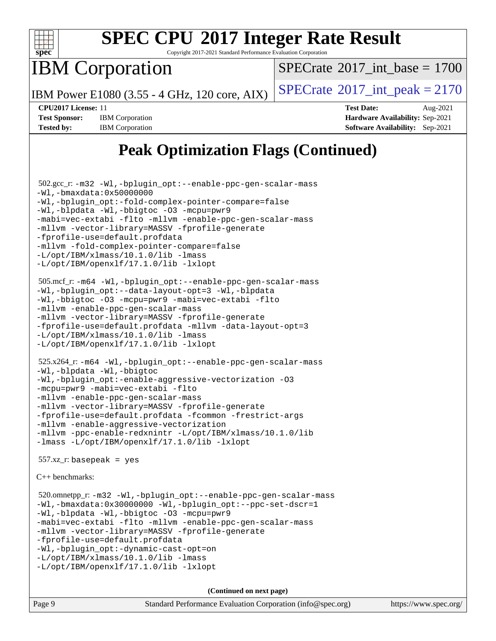

Copyright 2017-2021 Standard Performance Evaluation Corporation

IBM Corporation

[SPECrate](http://www.spec.org/auto/cpu2017/Docs/result-fields.html#SPECrate2017intbase)<sup>®</sup>2017 int base = 1700

IBM Power E1080 (3.55 - 4 GHz, 120 core, AIX)  $\left| \text{SPECrate} \right|^{2}$  $\left| \text{SPECrate} \right|^{2}$  $\left| \text{SPECrate} \right|^{2}$  SPEC  $\left| \text{Crate} \right|^{2}$ 

**[Tested by:](http://www.spec.org/auto/cpu2017/Docs/result-fields.html#Testedby)** IBM Corporation **[Software Availability:](http://www.spec.org/auto/cpu2017/Docs/result-fields.html#SoftwareAvailability)** Sep-2021

**[CPU2017 License:](http://www.spec.org/auto/cpu2017/Docs/result-fields.html#CPU2017License)** 11 **[Test Date:](http://www.spec.org/auto/cpu2017/Docs/result-fields.html#TestDate)** Aug-2021 **[Test Sponsor:](http://www.spec.org/auto/cpu2017/Docs/result-fields.html#TestSponsor)** IBM Corporation **[Hardware Availability:](http://www.spec.org/auto/cpu2017/Docs/result-fields.html#HardwareAvailability)** Sep-2021

## **[Peak Optimization Flags \(Continued\)](http://www.spec.org/auto/cpu2017/Docs/result-fields.html#PeakOptimizationFlags)**

```
 502.gcc_r: -m32 -Wl,-bplugin_opt:--enable-ppc-gen-scalar-mass
-Wl,-bmaxdata:0x50000000
-Wl,-bplugin_opt:-fold-complex-pointer-compare=false
-Wl,-blpdata -Wl,-bbigtoc -O3 -mcpu=pwr9
-mabi=vec-extabi -flto -mllvm -enable-ppc-gen-scalar-mass
-mllvm -vector-library=MASSV -fprofile-generate
-fprofile-use=default.profdata
-mllvm -fold-complex-pointer-compare=false
-L/opt/IBM/xlmass/10.1.0/lib -lmass
-L/opt/IBM/openxlf/17.1.0/lib -lxlopt
 505.mcf_r: -m64 -Wl,-bplugin_opt:--enable-ppc-gen-scalar-mass
-Wl,-bplugin_opt:--data-layout-opt=3 -Wl,-blpdata
-Wl,-bbigtoc -O3 -mcpu=pwr9 -mabi=vec-extabi -flto
-mllvm -enable-ppc-gen-scalar-mass
-mllvm -vector-library=MASSV -fprofile-generate
-fprofile-use=default.profdata -mllvm -data-layout-opt=3
-L/opt/IBM/xlmass/10.1.0/lib -lmass
-L/opt/IBM/openxlf/17.1.0/lib -lxlopt
 525.x264_r: -m64 -Wl,-bplugin_opt:--enable-ppc-gen-scalar-mass
-Wl,-blpdata -Wl,-bbigtoc
-Wl,-bplugin_opt:-enable-aggressive-vectorization -O3
-mcpu=pwr9 -mabi=vec-extabi -flto
-mllvm -enable-ppc-gen-scalar-mass
-mllvm -vector-library=MASSV -fprofile-generate
-fprofile-use=default.profdata -fcommon -frestrict-args
-mllvm -enable-aggressive-vectorization
-mllvm -ppc-enable-redxnintr -L/opt/IBM/xlmass/10.1.0/lib
-lmass -L/opt/IBM/openxlf/17.1.0/lib -lxlopt
 557.xz_r: basepeak = yes
C++ benchmarks: 
 520.omnetpp_r: -m32 -Wl,-bplugin_opt:--enable-ppc-gen-scalar-mass
-Wl,-bmaxdata:0x30000000 -Wl,-bplugin_opt:--ppc-set-dscr=1
-Wl,-blpdata -Wl,-bbigtoc -O3 -mcpu=pwr9
-mabi=vec-extabi -flto -mllvm -enable-ppc-gen-scalar-mass
-mllvm -vector-library=MASSV -fprofile-generate
-fprofile-use=default.profdata
-Wl,-bplugin_opt:-dynamic-cast-opt=on
-L/opt/IBM/xlmass/10.1.0/lib -lmass
-L/opt/IBM/openxlf/17.1.0/lib -lxlopt
```
**(Continued on next page)**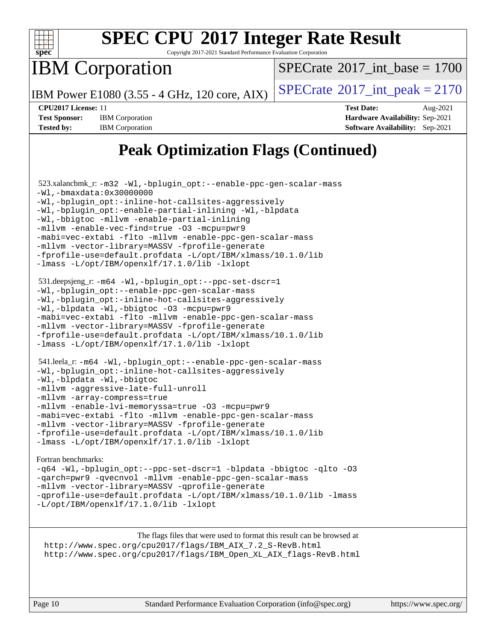

Copyright 2017-2021 Standard Performance Evaluation Corporation

IBM Corporation

[SPECrate](http://www.spec.org/auto/cpu2017/Docs/result-fields.html#SPECrate2017intbase)<sup>®</sup>2017 int\_base = 1700

IBM Power E1080 (3.55 - 4 GHz, 120 core, AIX)  $\left| \text{SPECrate} \right|^{2}$  $\left| \text{SPECrate} \right|^{2}$  $\left| \text{SPECrate} \right|^{2}$  SPEC  $\left| \text{Crate} \right|^{2}$ 

**[Tested by:](http://www.spec.org/auto/cpu2017/Docs/result-fields.html#Testedby)** IBM Corporation **[Software Availability:](http://www.spec.org/auto/cpu2017/Docs/result-fields.html#SoftwareAvailability)** Sep-2021

**[CPU2017 License:](http://www.spec.org/auto/cpu2017/Docs/result-fields.html#CPU2017License)** 11 **[Test Date:](http://www.spec.org/auto/cpu2017/Docs/result-fields.html#TestDate)** Aug-2021 **[Test Sponsor:](http://www.spec.org/auto/cpu2017/Docs/result-fields.html#TestSponsor)** IBM Corporation **[Hardware Availability:](http://www.spec.org/auto/cpu2017/Docs/result-fields.html#HardwareAvailability)** Sep-2021

## **[Peak Optimization Flags \(Continued\)](http://www.spec.org/auto/cpu2017/Docs/result-fields.html#PeakOptimizationFlags)**

```
 523.xalancbmk_r: -m32 -Wl,-bplugin_opt:--enable-ppc-gen-scalar-mass
-Wl,-bmaxdata:0x30000000
-Wl,-bplugin_opt:-inline-hot-callsites-aggressively
-Wl,-bplugin_opt:-enable-partial-inlining -Wl,-blpdata
-Wl,-bbigtoc -mllvm -enable-partial-inlining
-mllvm -enable-vec-find=true -O3 -mcpu=pwr9
-mabi=vec-extabi -flto -mllvm -enable-ppc-gen-scalar-mass
-mllvm -vector-library=MASSV -fprofile-generate
-fprofile-use=default.profdata -L/opt/IBM/xlmass/10.1.0/lib
-lmass -L/opt/IBM/openxlf/17.1.0/lib -lxlopt
 531.deepsjeng_r: -m64 -Wl,-bplugin_opt:--ppc-set-dscr=1
-Wl,-bplugin_opt:--enable-ppc-gen-scalar-mass
-Wl,-bplugin_opt:-inline-hot-callsites-aggressively
-Wl,-blpdata -Wl,-bbigtoc -O3 -mcpu=pwr9
-mabi=vec-extabi -flto -mllvm -enable-ppc-gen-scalar-mass
-mllvm -vector-library=MASSV -fprofile-generate
-fprofile-use=default.profdata -L/opt/IBM/xlmass/10.1.0/lib
-lmass -L/opt/IBM/openxlf/17.1.0/lib -lxlopt
 541.leela_r: -m64 -Wl,-bplugin_opt:--enable-ppc-gen-scalar-mass
-Wl,-bplugin_opt:-inline-hot-callsites-aggressively
-Wl,-blpdata -Wl,-bbigtoc
-mllvm -aggressive-late-full-unroll
-mllvm -array-compress=true
-mllvm -enable-lvi-memoryssa=true -O3 -mcpu=pwr9
-mabi=vec-extabi -flto -mllvm -enable-ppc-gen-scalar-mass
-mllvm -vector-library=MASSV -fprofile-generate
-fprofile-use=default.profdata -L/opt/IBM/xlmass/10.1.0/lib
-lmass -L/opt/IBM/openxlf/17.1.0/lib -lxlopt
Fortran benchmarks: 
-q64 -Wl,-bplugin_opt:--ppc-set-dscr=1 -blpdata -bbigtoc -qlto -O3
-qarch=pwr9 -qvecnvol -mllvm -enable-ppc-gen-scalar-mass
-mllvm -vector-library=MASSV -qprofile-generate
```
[-qprofile-use=default.profdata](http://www.spec.org/cpu2017/results/res2021q3/cpu2017-20210814-28679.flags.html#user_FCpeak_F-qprofile-use_bfe0277b622e26936f187488c954613f707f57f008a71720540fb66cd560bc3ed7f4f3e1d5e36cd7392a82d46c15a80d0c1056a28b7ef93bd8fad800aedafa8f) [-L/opt/IBM/xlmass/10.1.0/lib](http://www.spec.org/cpu2017/results/res2021q3/cpu2017-20210814-28679.flags.html#user_FCpeak_F-L_8a801f934146618e620278765a5ef90b8c915cc192c942ec4017754dc6ea911fc6076e10a4bee61092241cf5e08886d583c12c38bed894ebec63a08529138947) [-lmass](http://www.spec.org/cpu2017/results/res2021q3/cpu2017-20210814-28679.flags.html#user_FCpeak_F-lmass) [-L/opt/IBM/openxlf/17.1.0/lib](http://www.spec.org/cpu2017/results/res2021q3/cpu2017-20210814-28679.flags.html#user_FCpeak_F-L_add4bab88a6c42c88e302f591c73bb72937ef64e579693abc59aa2e1fd2665ec6fc9d43c422cf6dbfb0a7c937a1bb302f576036cf20ceb47a619d9b704399be1) [-lxlopt](http://www.spec.org/cpu2017/results/res2021q3/cpu2017-20210814-28679.flags.html#user_FCpeak_F-lxlopt)

[The flags files that were used to format this result can be browsed at](tmsearch) [http://www.spec.org/cpu2017/flags/IBM\\_AIX\\_7.2\\_S-RevB.html](http://www.spec.org/cpu2017/flags/IBM_AIX_7.2_S-RevB.html) [http://www.spec.org/cpu2017/flags/IBM\\_Open\\_XL\\_AIX\\_flags-RevB.html](http://www.spec.org/cpu2017/flags/IBM_Open_XL_AIX_flags-RevB.html)